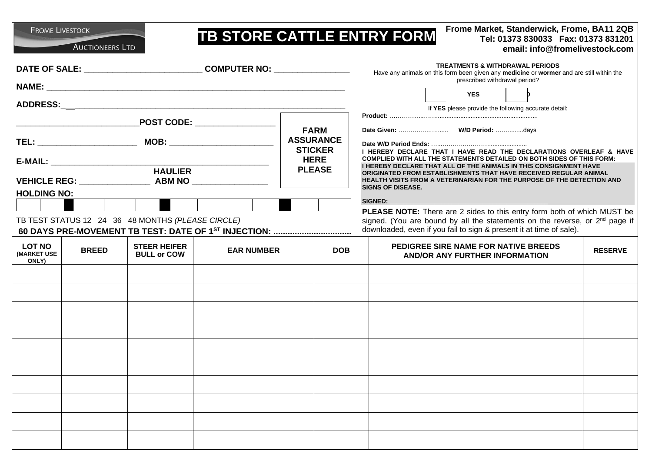**FROME LIVESTOCK** 

**AUCTIONEERS LTD** 

## **TB STORE CATTLE ENTRY FORM**

**Frome Market, Standerwick, Frome, BA11 2QB**<br>Tel: 01373 830033 Fax: 01373 831201 **email: info@fromelivestock.com**

|                                                       |              |                                                   |                                                                  | <b>TREATMENTS &amp; WITHDRAWAL PERIODS</b><br>Have any animals on this form been given any medicine or wormer and are still within the |                                                                                                                                                                                                                                             |  |
|-------------------------------------------------------|--------------|---------------------------------------------------|------------------------------------------------------------------|----------------------------------------------------------------------------------------------------------------------------------------|---------------------------------------------------------------------------------------------------------------------------------------------------------------------------------------------------------------------------------------------|--|
|                                                       |              |                                                   |                                                                  |                                                                                                                                        | prescribed withdrawal period?                                                                                                                                                                                                               |  |
|                                                       |              |                                                   |                                                                  |                                                                                                                                        | <b>YES</b><br>If YES please provide the following accurate detail:                                                                                                                                                                          |  |
| $\overline{\phantom{a}}$ POST CODE: _________________ |              |                                                   |                                                                  |                                                                                                                                        |                                                                                                                                                                                                                                             |  |
|                                                       |              |                                                   |                                                                  | <b>FARM</b><br><b>ASSURANCE</b><br><b>STICKER</b>                                                                                      | I HEREBY DECLARE THAT I HAVE READ THE DECLARATIONS OVERLEAF & HAVE                                                                                                                                                                          |  |
|                                                       |              |                                                   |                                                                  | <b>HERE</b>                                                                                                                            | COMPLIED WITH ALL THE STATEMENTS DETAILED ON BOTH SIDES OF THIS FORM:                                                                                                                                                                       |  |
|                                                       |              |                                                   |                                                                  | <b>PLEASE</b>                                                                                                                          | I HEREBY DECLARE THAT ALL OF THE ANIMALS IN THIS CONSIGNMENT HAVE<br>ORIGINATED FROM ESTABLISHMENTS THAT HAVE RECEIVED REGULAR ANIMAL<br>HEALTH VISITS FROM A VETERINARIAN FOR THE PURPOSE OF THE DETECTION AND<br><b>SIGNS OF DISEASE.</b> |  |
| <b>HOLDING NO:</b>                                    |              |                                                   |                                                                  |                                                                                                                                        |                                                                                                                                                                                                                                             |  |
|                                                       |              | TB TEST STATUS 12 24 36 48 MONTHS (PLEASE CIRCLE) | 60 DAYS PRE-MOVEMENT TB TEST: DATE OF 1 <sup>ST</sup> INJECTION: |                                                                                                                                        | SIGNED:<br>PLEASE NOTE: There are 2 sides to this entry form both of which MUST be<br>signed. (You are bound by all the statements on the reverse, or $2nd$ page if<br>downloaded, even if you fail to sign & present it at time of sale).  |  |
| <b>LOT NO</b><br><b>(MARKET USE</b><br>ONLY)          | <b>BREED</b> | <b>STEER HEIFER</b><br><b>BULL or COW</b>         | <b>EAR NUMBER</b>                                                | <b>DOB</b>                                                                                                                             | <b>PEDIGREE SIRE NAME FOR NATIVE BREEDS</b><br><b>RESERVE</b><br><b>AND/OR ANY FURTHER INFORMATION</b>                                                                                                                                      |  |
|                                                       |              |                                                   |                                                                  |                                                                                                                                        |                                                                                                                                                                                                                                             |  |
|                                                       |              |                                                   |                                                                  |                                                                                                                                        |                                                                                                                                                                                                                                             |  |
|                                                       |              |                                                   |                                                                  |                                                                                                                                        |                                                                                                                                                                                                                                             |  |
|                                                       |              |                                                   |                                                                  |                                                                                                                                        |                                                                                                                                                                                                                                             |  |
|                                                       |              |                                                   |                                                                  |                                                                                                                                        |                                                                                                                                                                                                                                             |  |
|                                                       |              |                                                   |                                                                  |                                                                                                                                        |                                                                                                                                                                                                                                             |  |
|                                                       |              |                                                   |                                                                  |                                                                                                                                        |                                                                                                                                                                                                                                             |  |
|                                                       |              |                                                   |                                                                  |                                                                                                                                        |                                                                                                                                                                                                                                             |  |
|                                                       |              |                                                   |                                                                  |                                                                                                                                        |                                                                                                                                                                                                                                             |  |
|                                                       |              |                                                   |                                                                  |                                                                                                                                        |                                                                                                                                                                                                                                             |  |